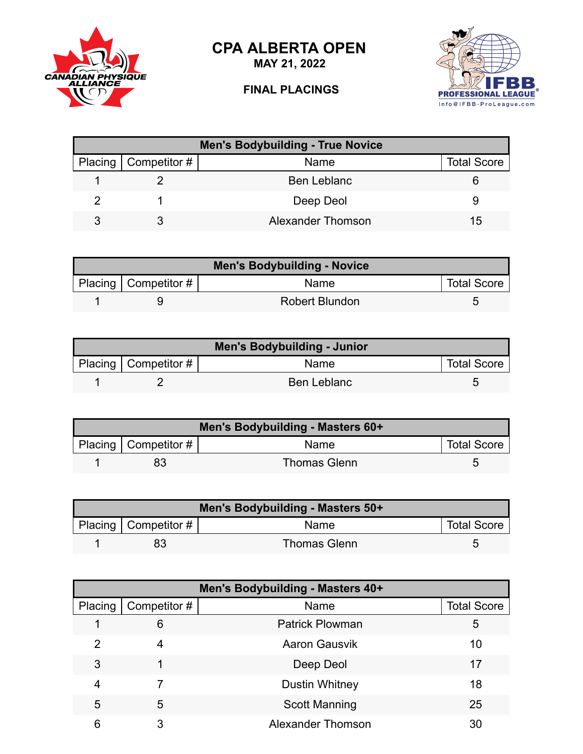**CPA ALBERTA OPEN**



## CANADIAN PHYSIQUE





| <b>Men's Bodybuilding - True Novice</b> |                        |                    |                    |
|-----------------------------------------|------------------------|--------------------|--------------------|
|                                         | Placing   Competitor # | Name               | <b>Total Score</b> |
|                                         |                        | <b>Ben Leblanc</b> |                    |
|                                         |                        | Deep Deol          |                    |
|                                         |                        | Alexander Thomson  | 15                 |

| <b>Men's Bodybuilding - Novice</b> |                          |                       |                    |
|------------------------------------|--------------------------|-----------------------|--------------------|
|                                    | Placing   Competitor $#$ | Name                  | <b>Total Score</b> |
|                                    |                          | <b>Robert Blundon</b> |                    |

| Men's Bodybuilding - Junior |                        |                    |                    |
|-----------------------------|------------------------|--------------------|--------------------|
|                             | Placing   Competitor # | <b>Name</b>        | <b>Total Score</b> |
|                             |                        | <b>Ben Leblanc</b> |                    |

| Men's Bodybuilding - Masters 60+ |                                         |              |  |  |
|----------------------------------|-----------------------------------------|--------------|--|--|
|                                  | Placing   Competitor #  <br><b>Name</b> |              |  |  |
|                                  | 83                                      | Thomas Glenn |  |  |

| Men's Bodybuilding - Masters 50+ |                                                        |                     |  |  |
|----------------------------------|--------------------------------------------------------|---------------------|--|--|
|                                  | Placing   Competitor #  <br><b>Total Score</b><br>Name |                     |  |  |
|                                  | 83                                                     | <b>Thomas Glenn</b> |  |  |

| Men's Bodybuilding - Masters 40+ |              |                          |                    |  |
|----------------------------------|--------------|--------------------------|--------------------|--|
| Placing                          | Competitor # | Name                     | <b>Total Score</b> |  |
|                                  | 6            | <b>Patrick Plowman</b>   | 5                  |  |
| 2                                | 4            | <b>Aaron Gausvik</b>     | 10                 |  |
| 3                                |              | Deep Deol                | 17                 |  |
| 4                                |              | Dustin Whitney           | 18                 |  |
| 5                                | 5            | <b>Scott Manning</b>     | 25                 |  |
| 6                                | 3            | <b>Alexander Thomson</b> | 30                 |  |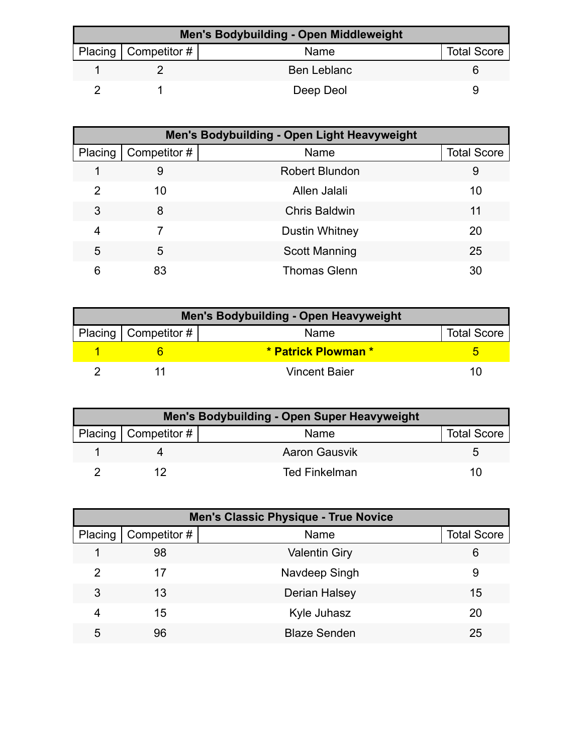| Men's Bodybuilding - Open Middleweight |                          |                    |                    |  |
|----------------------------------------|--------------------------|--------------------|--------------------|--|
|                                        | Placing   Competitor $#$ | Name               | <b>Total Score</b> |  |
|                                        |                          | <b>Ben Leblanc</b> |                    |  |
|                                        |                          | Deep Deol          |                    |  |

|         | Men's Bodybuilding - Open Light Heavyweight |                       |                    |  |  |
|---------|---------------------------------------------|-----------------------|--------------------|--|--|
| Placing | Competitor #                                | Name                  | <b>Total Score</b> |  |  |
|         | 9                                           | <b>Robert Blundon</b> | 9                  |  |  |
| 2       | 10                                          | Allen Jalali          | 10                 |  |  |
| 3       | 8                                           | <b>Chris Baldwin</b>  | 11                 |  |  |
| 4       |                                             | <b>Dustin Whitney</b> | 20                 |  |  |
| 5       | 5                                           | <b>Scott Manning</b>  | 25                 |  |  |
| 6       | 83                                          | <b>Thomas Glenn</b>   | 30                 |  |  |

| Men's Bodybuilding - Open Heavyweight |                          |                      |                    |  |
|---------------------------------------|--------------------------|----------------------|--------------------|--|
|                                       | Placing   Competitor $#$ | Name                 | <b>Total Score</b> |  |
|                                       |                          | * Patrick Plowman *  |                    |  |
|                                       |                          | <b>Vincent Baier</b> | 1 ( 1              |  |

| Men's Bodybuilding - Open Super Heavyweight |                        |                      |                    |
|---------------------------------------------|------------------------|----------------------|--------------------|
|                                             | Placing   Competitor # | Name                 | <b>Total Score</b> |
|                                             |                        | <b>Aaron Gausvik</b> |                    |
|                                             |                        | Ted Finkelman        |                    |

|         | <b>Men's Classic Physique - True Novice</b> |                      |                    |  |  |
|---------|---------------------------------------------|----------------------|--------------------|--|--|
| Placing | Competitor #                                | Name                 | <b>Total Score</b> |  |  |
|         | 98                                          | <b>Valentin Giry</b> | 6                  |  |  |
| 2       | 17                                          | Navdeep Singh        | 9                  |  |  |
| 3       | 13                                          | Derian Halsey        | 15                 |  |  |
| 4       | 15                                          | Kyle Juhasz          | 20                 |  |  |
| 5       | 96                                          | <b>Blaze Senden</b>  | 25                 |  |  |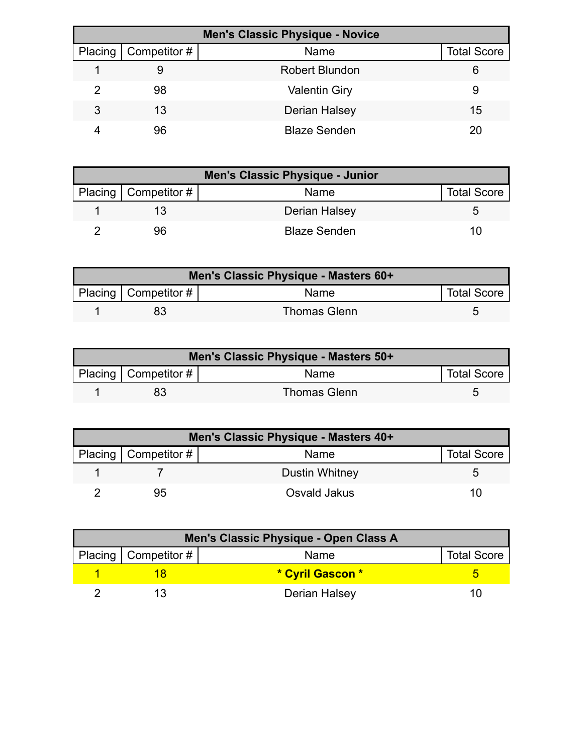| <b>Men's Classic Physique - Novice</b> |              |                       |                    |  |
|----------------------------------------|--------------|-----------------------|--------------------|--|
| Placing                                | Competitor # | Name                  | <b>Total Score</b> |  |
|                                        | 9            | <b>Robert Blundon</b> |                    |  |
| 2                                      | 98           | <b>Valentin Giry</b>  | 9                  |  |
| 3                                      | 13           | Derian Halsey         | 15                 |  |
|                                        | 96           | <b>Blaze Senden</b>   |                    |  |

| Men's Classic Physique - Junior |                        |                     |                    |
|---------------------------------|------------------------|---------------------|--------------------|
|                                 | Placing   Competitor # | Name                | <b>Total Score</b> |
|                                 |                        | Derian Halsey       |                    |
|                                 | 96                     | <b>Blaze Senden</b> |                    |

| Men's Classic Physique - Masters 60+ |                         |                     |                    |  |
|--------------------------------------|-------------------------|---------------------|--------------------|--|
|                                      | Placing Competitor $\#$ | <b>Name</b>         | <b>Total Score</b> |  |
|                                      |                         | <b>Thomas Glenn</b> |                    |  |

| Men's Classic Physique - Masters 50+ |                            |                     |                    |  |
|--------------------------------------|----------------------------|---------------------|--------------------|--|
|                                      | Placing   Competitor # $ $ | Name                | <b>Total Score</b> |  |
|                                      |                            | <b>Thomas Glenn</b> |                    |  |

| Men's Classic Physique - Masters 40+ |                        |                |                    |  |
|--------------------------------------|------------------------|----------------|--------------------|--|
|                                      | Placing   Competitor # | Name           | <b>Total Score</b> |  |
|                                      |                        | Dustin Whitney |                    |  |
|                                      | 95                     | Osvald Jakus   | 10                 |  |

| Men's Classic Physique - Open Class A |                        |                  |                    |
|---------------------------------------|------------------------|------------------|--------------------|
|                                       | Placing   Competitor # | Name             | <b>Total Score</b> |
|                                       |                        | * Cyril Gascon * |                    |
|                                       |                        | Derian Halsey    | 11                 |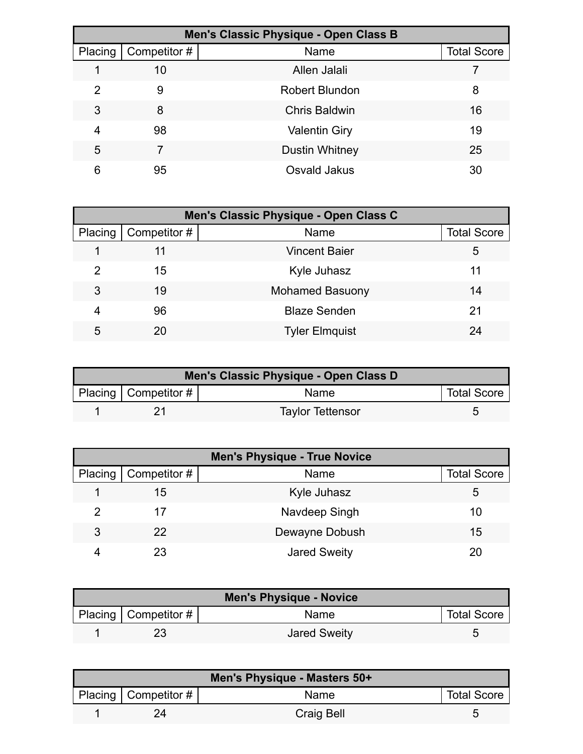| Men's Classic Physique - Open Class B |              |                       |                    |
|---------------------------------------|--------------|-----------------------|--------------------|
| Placing                               | Competitor # | Name                  | <b>Total Score</b> |
|                                       | 10           | Allen Jalali          |                    |
| 2                                     | 9            | <b>Robert Blundon</b> | 8                  |
| 3                                     | 8            | <b>Chris Baldwin</b>  | 16                 |
| 4                                     | 98           | <b>Valentin Giry</b>  | 19                 |
| 5                                     |              | <b>Dustin Whitney</b> | 25                 |
| 6                                     | 95           | Osvald Jakus          | 30                 |

| Men's Classic Physique - Open Class C |              |                        |                    |  |
|---------------------------------------|--------------|------------------------|--------------------|--|
| Placing                               | Competitor # | Name                   | <b>Total Score</b> |  |
|                                       |              | Vincent Baier          | 5                  |  |
| 2                                     | 15           | Kyle Juhasz            | 11                 |  |
| 3                                     | 19           | <b>Mohamed Basuony</b> | 14                 |  |
| 4                                     | 96           | <b>Blaze Senden</b>    | 21                 |  |
| 5                                     |              | <b>Tyler Elmquist</b>  | 24                 |  |

| Men's Classic Physique - Open Class D |                        |                         |                    |  |
|---------------------------------------|------------------------|-------------------------|--------------------|--|
|                                       | Placing   Competitor # | Name                    | <b>Total Score</b> |  |
|                                       |                        | <b>Taylor Tettensor</b> |                    |  |

|         | <b>Men's Physique - True Novice</b> |                     |                    |  |
|---------|-------------------------------------|---------------------|--------------------|--|
| Placing | Competitor #                        | Name                | <b>Total Score</b> |  |
|         | 15                                  | Kyle Juhasz         | 5                  |  |
|         | 17                                  | Navdeep Singh       | 10                 |  |
| 3       | 22                                  | Dewayne Dobush      | 15                 |  |
|         | 23                                  | <b>Jared Sweity</b> | 20                 |  |

| <b>Men's Physique - Novice</b> |                        |                     |                    |
|--------------------------------|------------------------|---------------------|--------------------|
|                                | Placing   Competitor # | Name                | <b>Total Score</b> |
|                                |                        | <b>Jared Sweity</b> |                    |

| Men's Physique - Masters 50+ |                           |                   |                    |  |
|------------------------------|---------------------------|-------------------|--------------------|--|
|                              | Placing   Competitor $\#$ | Name              | <b>Total Score</b> |  |
|                              |                           | <b>Craig Bell</b> |                    |  |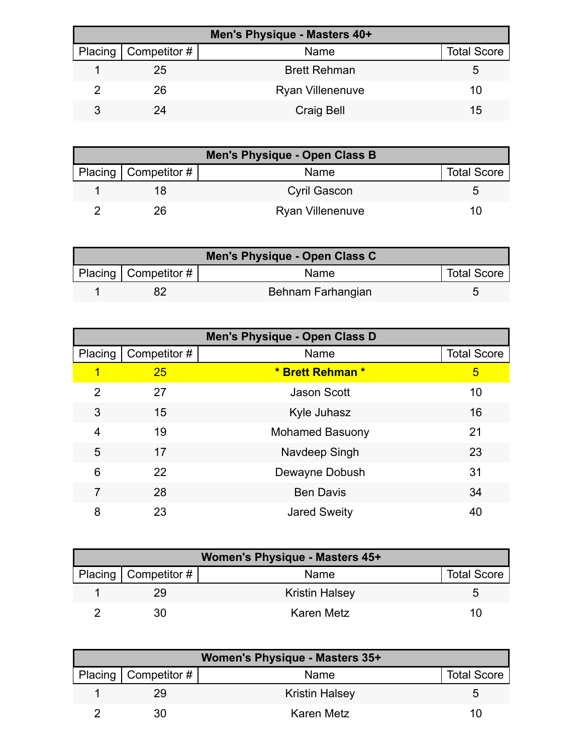| Men's Physique - Masters 40+ |                              |                         |                    |  |
|------------------------------|------------------------------|-------------------------|--------------------|--|
|                              | Placing $\vert$ Competitor # | Name                    | <b>Total Score</b> |  |
|                              | 25                           | <b>Brett Rehman</b>     | G                  |  |
|                              | 26                           | <b>Ryan Villenenuve</b> | 10                 |  |
|                              | 24                           | <b>Craig Bell</b>       | 15                 |  |

| Men's Physique - Open Class B |                         |                    |  |  |
|-------------------------------|-------------------------|--------------------|--|--|
| Placing   Competitor #        | Name                    | <b>Total Score</b> |  |  |
|                               | Cyril Gascon            |                    |  |  |
| 26                            | <b>Ryan Villenenuve</b> | 10                 |  |  |

| Men's Physique - Open Class C |                        |                   |                    |  |
|-------------------------------|------------------------|-------------------|--------------------|--|
|                               | Placing   Competitor # | Name              | <b>Total Score</b> |  |
|                               |                        | Behnam Farhangian |                    |  |

| Men's Physique - Open Class D |              |                        |                    |  |
|-------------------------------|--------------|------------------------|--------------------|--|
| Placing                       | Competitor # | Name                   | <b>Total Score</b> |  |
| 1                             | 25           | * Brett Rehman *       | 5                  |  |
| 2                             | 27           | <b>Jason Scott</b>     | 10                 |  |
| 3                             | 15           | Kyle Juhasz            | 16                 |  |
| 4                             | 19           | <b>Mohamed Basuony</b> | 21                 |  |
| 5                             | 17           | Navdeep Singh          | 23                 |  |
| 6                             | 22           | Dewayne Dobush         | 31                 |  |
| 7                             | 28           | <b>Ben Davis</b>       | 34                 |  |
| 8                             | 23           | <b>Jared Sweity</b>    | 40                 |  |

| <b>Women's Physique - Masters 45+</b> |                        |                       |                    |  |
|---------------------------------------|------------------------|-----------------------|--------------------|--|
|                                       | Placing   Competitor # | Name                  | <b>Total Score</b> |  |
|                                       | 29                     | <b>Kristin Halsey</b> |                    |  |
|                                       | 30                     | Karen Metz            | 10                 |  |

| Women's Physique - Masters 35+ |                          |                       |                    |  |
|--------------------------------|--------------------------|-----------------------|--------------------|--|
|                                | Placing   Competitor $#$ | Name                  | <b>Total Score</b> |  |
|                                | 29                       | <b>Kristin Halsey</b> | h                  |  |
|                                | 30                       | <b>Karen Metz</b>     |                    |  |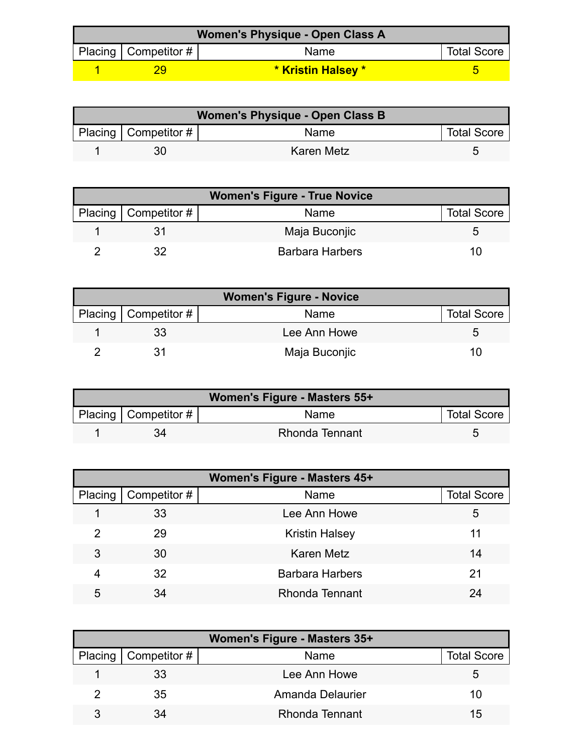| <b>Women's Physique - Open Class A</b> |                          |                    |                    |  |
|----------------------------------------|--------------------------|--------------------|--------------------|--|
|                                        | Placing   Competitor $#$ | Name               | <b>Total Score</b> |  |
|                                        |                          | * Kristin Halsey * |                    |  |

| <b>Women's Physique - Open Class B</b>                    |    |            |  |  |
|-----------------------------------------------------------|----|------------|--|--|
| Placing   Competitor $\#$  <br><b>Total Score</b><br>Name |    |            |  |  |
|                                                           | 30 | Karen Metz |  |  |

| <b>Women's Figure - True Novice</b> |                        |                        |                    |  |
|-------------------------------------|------------------------|------------------------|--------------------|--|
|                                     | Placing   Competitor # | Name                   | <b>Total Score</b> |  |
|                                     |                        | Maja Buconjic          |                    |  |
|                                     |                        | <b>Barbara Harbers</b> | 10                 |  |

| <b>Women's Figure - Novice</b> |                        |               |                    |  |
|--------------------------------|------------------------|---------------|--------------------|--|
|                                | Placing   Competitor # | Name          | <b>Total Score</b> |  |
|                                |                        | Lee Ann Howe  |                    |  |
|                                |                        | Maja Buconjic | 10                 |  |

| Women's Figure - Masters 55+ |                          |                       |                    |  |
|------------------------------|--------------------------|-----------------------|--------------------|--|
|                              | Placing   Competitor $#$ | Name                  | <b>Total Score</b> |  |
|                              |                          | <b>Rhonda Tennant</b> |                    |  |

| Women's Figure - Masters 45+ |              |                        |                    |  |
|------------------------------|--------------|------------------------|--------------------|--|
| Placing                      | Competitor # | Name                   | <b>Total Score</b> |  |
|                              | 33           | Lee Ann Howe           | 5                  |  |
| 2                            | 29           | <b>Kristin Halsey</b>  | 11                 |  |
| 3                            | 30           | <b>Karen Metz</b>      | 14                 |  |
| 4                            | 32           | <b>Barbara Harbers</b> | 21                 |  |
| 5                            | 34           | <b>Rhonda Tennant</b>  | 24                 |  |

| Women's Figure - Masters 35+ |                              |                  |                    |  |
|------------------------------|------------------------------|------------------|--------------------|--|
|                              | Placing $\vert$ Competitor # | Name             | <b>Total Score</b> |  |
|                              | 33                           | Lee Ann Howe     | 5                  |  |
|                              | 35                           | Amanda Delaurier | 10                 |  |
|                              |                              | Rhonda Tennant   | 15                 |  |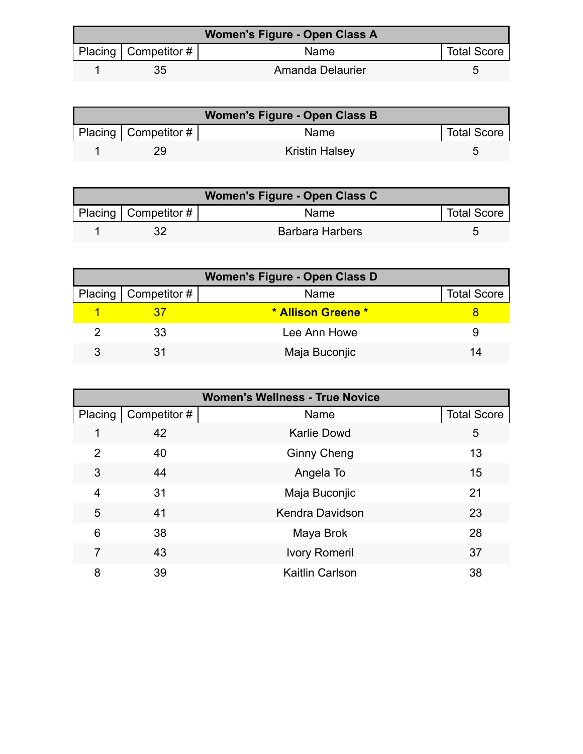| Women's Figure - Open Class A |                        |                  |                    |  |
|-------------------------------|------------------------|------------------|--------------------|--|
|                               | Placing   Competitor # | Name             | <b>Total Score</b> |  |
|                               | 35                     | Amanda Delaurier |                    |  |

| Women's Figure - Open Class B |                           |                       |                    |  |
|-------------------------------|---------------------------|-----------------------|--------------------|--|
|                               | Placing   Competitor $\#$ | Name                  | <b>Total Score</b> |  |
|                               | 29                        | <b>Kristin Halsey</b> |                    |  |

| Women's Figure - Open Class C |                          |                        |                    |  |
|-------------------------------|--------------------------|------------------------|--------------------|--|
|                               | Placing   Competitor $#$ | <b>Name</b>            | <b>Total Score</b> |  |
|                               |                          | <b>Barbara Harbers</b> |                    |  |

| <b>Women's Figure - Open Class D</b> |                              |                    |                    |  |
|--------------------------------------|------------------------------|--------------------|--------------------|--|
|                                      | Placing $\vert$ Competitor # | Name               | <b>Total Score</b> |  |
|                                      |                              | * Allison Greene * |                    |  |
|                                      | 33                           | Lee Ann Howe       |                    |  |
|                                      |                              | Maja Buconjic      | 14                 |  |

| <b>Women's Wellness - True Novice</b> |              |                        |                    |
|---------------------------------------|--------------|------------------------|--------------------|
| Placing                               | Competitor # | Name                   | <b>Total Score</b> |
| 1                                     | 42           | <b>Karlie Dowd</b>     | 5                  |
| $\overline{2}$                        | 40           | <b>Ginny Cheng</b>     | 13                 |
| 3                                     | 44           | Angela To              | 15                 |
| 4                                     | 31           | Maja Buconjic          | 21                 |
| 5                                     | 41           | <b>Kendra Davidson</b> | 23                 |
| 6                                     | 38           | Maya Brok              | 28                 |
| 7                                     | 43           | <b>Ivory Romeril</b>   | 37                 |
| 8                                     | 39           | <b>Kaitlin Carlson</b> | 38                 |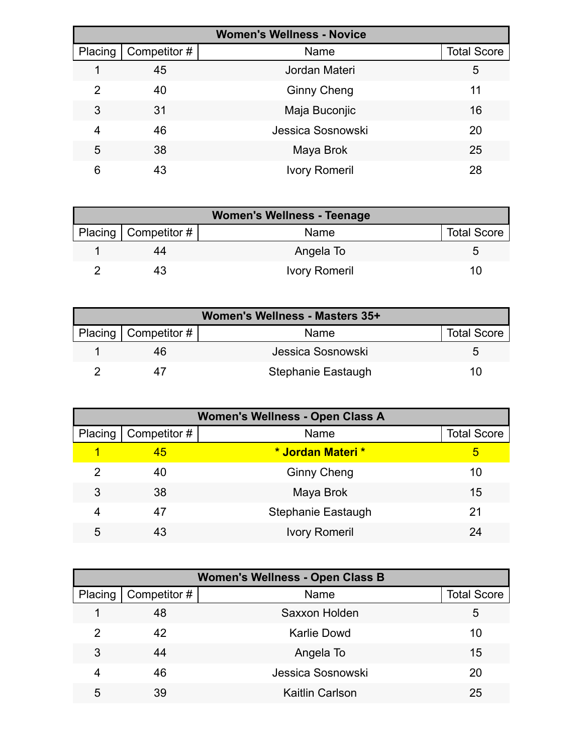| <b>Women's Wellness - Novice</b> |              |                      |                    |  |
|----------------------------------|--------------|----------------------|--------------------|--|
| Placing                          | Competitor # | Name                 | <b>Total Score</b> |  |
|                                  | 45           | Jordan Materi        | 5                  |  |
| 2                                | 40           | <b>Ginny Cheng</b>   | 11                 |  |
| 3                                | 31           | Maja Buconjic        | 16                 |  |
| 4                                | 46           | Jessica Sosnowski    | 20                 |  |
| 5                                | 38           | Maya Brok            | 25                 |  |
| 6                                | 43           | <b>Ivory Romeril</b> | 28                 |  |

| <b>Women's Wellness - Teenage</b> |                      |                    |  |  |
|-----------------------------------|----------------------|--------------------|--|--|
| Placing   Competitor #            | Name                 | <b>Total Score</b> |  |  |
| 44                                | Angela To            |                    |  |  |
|                                   | <b>Ivory Romeril</b> | 10                 |  |  |

| Women's Wellness - Masters 35+ |                        |                    |                    |  |
|--------------------------------|------------------------|--------------------|--------------------|--|
|                                | Placing   Competitor # | Name               | <b>Total Score</b> |  |
|                                | 46                     | Jessica Sosnowski  |                    |  |
|                                |                        | Stephanie Eastaugh | '''                |  |

| <b>Women's Wellness - Open Class A</b> |              |                      |                    |  |
|----------------------------------------|--------------|----------------------|--------------------|--|
| Placing                                | Competitor # | Name                 | <b>Total Score</b> |  |
| 1                                      | 45           | * Jordan Materi *    | 5                  |  |
| 2                                      | 40           | <b>Ginny Cheng</b>   | 10                 |  |
| 3                                      | 38           | Maya Brok            | 15                 |  |
| 4                                      | 47           | Stephanie Eastaugh   | 21                 |  |
| 5                                      | 43           | <b>Ivory Romeril</b> | 24                 |  |

| <b>Women's Wellness - Open Class B</b> |              |                        |                    |  |
|----------------------------------------|--------------|------------------------|--------------------|--|
| Placing                                | Competitor # | Name                   | <b>Total Score</b> |  |
|                                        | 48           | Saxxon Holden          | 5                  |  |
| 2                                      | 42           | <b>Karlie Dowd</b>     | 10                 |  |
| 3                                      | 44           | Angela To              | 15                 |  |
| 4                                      | 46           | Jessica Sosnowski      | 20                 |  |
| 5                                      | 39           | <b>Kaitlin Carlson</b> | 25                 |  |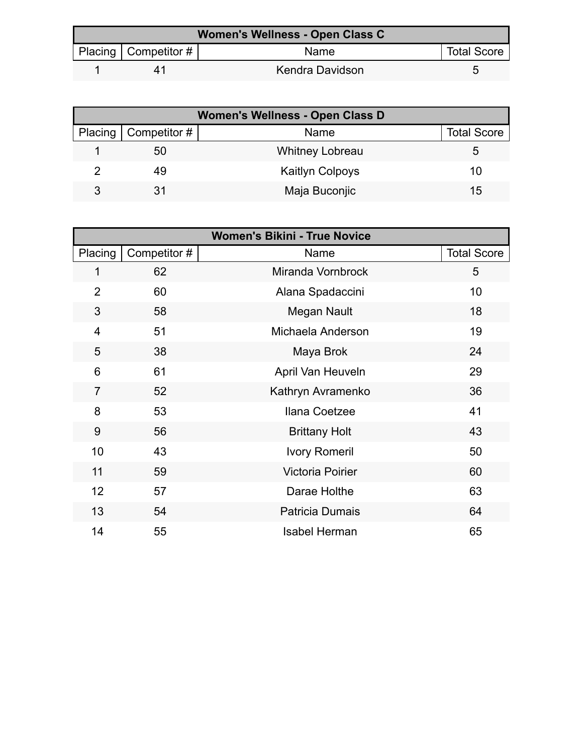| Women's Wellness - Open Class C |                          |                 |                    |  |
|---------------------------------|--------------------------|-----------------|--------------------|--|
|                                 | Placing   Competitor $#$ | Name            | <b>Total Score</b> |  |
|                                 |                          | Kendra Davidson |                    |  |

| <b>Women's Wellness - Open Class D</b> |                              |                        |                    |  |
|----------------------------------------|------------------------------|------------------------|--------------------|--|
|                                        | Placing $\vert$ Competitor # | Name                   | <b>Total Score</b> |  |
|                                        | 50                           | <b>Whitney Lobreau</b> | 5                  |  |
|                                        | 49                           | <b>Kaitlyn Colpoys</b> | 10                 |  |
| 3                                      |                              | Maja Buconjic          | 15                 |  |

| <b>Women's Bikini - True Novice</b> |             |                         |                    |  |
|-------------------------------------|-------------|-------------------------|--------------------|--|
| Placing                             | Competitor# | Name                    | <b>Total Score</b> |  |
| 1                                   | 62          | Miranda Vornbrock       | 5                  |  |
| $\overline{2}$                      | 60          | Alana Spadaccini        | 10                 |  |
| 3                                   | 58          | Megan Nault             | 18                 |  |
| 4                                   | 51          | Michaela Anderson       | 19                 |  |
| 5                                   | 38          | Maya Brok               | 24                 |  |
| 6                                   | 61          | April Van Heuveln       | 29                 |  |
| $\overline{7}$                      | 52          | Kathryn Avramenko       | 36                 |  |
| 8                                   | 53          | Ilana Coetzee           | 41                 |  |
| 9                                   | 56          | <b>Brittany Holt</b>    | 43                 |  |
| 10                                  | 43          | <b>Ivory Romeril</b>    | 50                 |  |
| 11                                  | 59          | <b>Victoria Poirier</b> | 60                 |  |
| 12                                  | 57          | Darae Holthe            | 63                 |  |
| 13                                  | 54          | <b>Patricia Dumais</b>  | 64                 |  |
| 14                                  | 55          | <b>Isabel Herman</b>    | 65                 |  |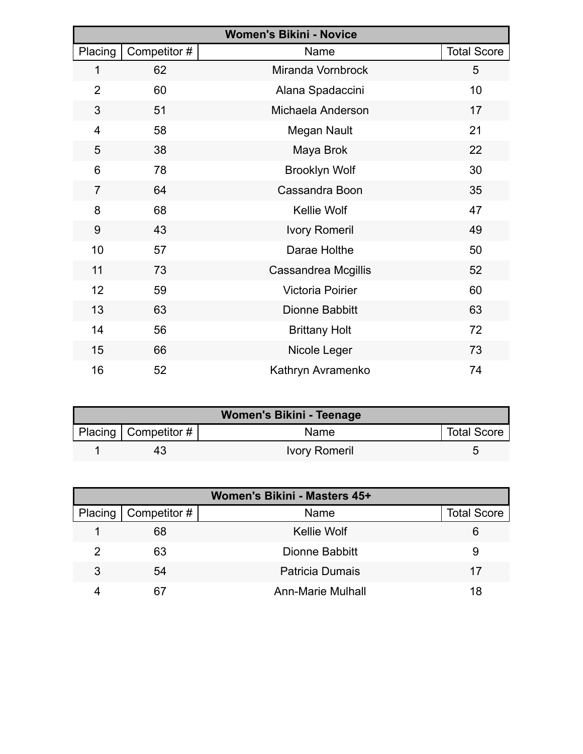| <b>Women's Bikini - Novice</b> |              |                         |                    |  |
|--------------------------------|--------------|-------------------------|--------------------|--|
| Placing                        | Competitor # | Name                    | <b>Total Score</b> |  |
| 1                              | 62           | Miranda Vornbrock       | 5                  |  |
| $\overline{2}$                 | 60           | Alana Spadaccini        | 10                 |  |
| 3                              | 51           | Michaela Anderson       | 17                 |  |
| $\overline{4}$                 | 58           | Megan Nault             | 21                 |  |
| 5                              | 38           | Maya Brok               | 22                 |  |
| 6                              | 78           | <b>Brooklyn Wolf</b>    | 30                 |  |
| $\overline{7}$                 | 64           | Cassandra Boon          | 35                 |  |
| 8                              | 68           | Kellie Wolf             | 47                 |  |
| 9                              | 43           | <b>Ivory Romeril</b>    | 49                 |  |
| 10                             | 57           | Darae Holthe            | 50                 |  |
| 11                             | 73           | Cassandrea Mcgillis     | 52                 |  |
| 12                             | 59           | <b>Victoria Poirier</b> | 60                 |  |
| 13                             | 63           | Dionne Babbitt          | 63                 |  |
| 14                             | 56           | <b>Brittany Holt</b>    | 72                 |  |
| 15                             | 66           | Nicole Leger            | 73                 |  |
| 16                             | 52           | Kathryn Avramenko       | 74                 |  |

| Women's Bikini - Teenage |                          |                      |                    |  |  |
|--------------------------|--------------------------|----------------------|--------------------|--|--|
|                          | Placing   Competitor $#$ | <b>Name</b>          | <b>Total Score</b> |  |  |
|                          | 43                       | <b>Ivory Romeril</b> |                    |  |  |

| Women's Bikini - Masters 45+ |              |                        |                    |  |
|------------------------------|--------------|------------------------|--------------------|--|
| Placing                      | Competitor # | Name                   | <b>Total Score</b> |  |
|                              | 68           | <b>Kellie Wolf</b>     | 6                  |  |
|                              | 63           | Dionne Babbitt         | 9                  |  |
| 3                            | 54           | <b>Patricia Dumais</b> | 17                 |  |
|                              | 67           | Ann-Marie Mulhall      | 18                 |  |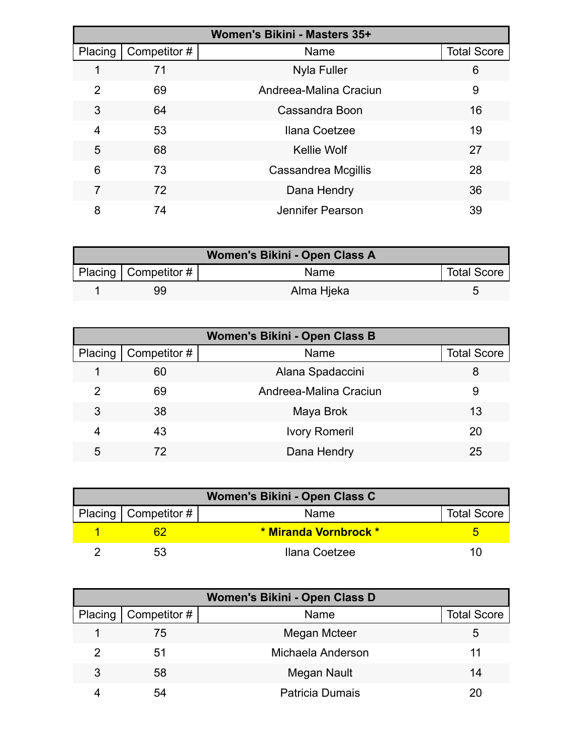| Women's Bikini - Masters 35+ |              |                         |                    |  |
|------------------------------|--------------|-------------------------|--------------------|--|
| Placing                      | Competitor # | Name                    | <b>Total Score</b> |  |
|                              | 71           | <b>Nyla Fuller</b>      | 6                  |  |
| 2                            | 69           | Andreea-Malina Craciun  | 9                  |  |
| 3                            | 64           | Cassandra Boon          | 16                 |  |
| 4                            | 53           | Ilana Coetzee           | 19                 |  |
| 5                            | 68           | <b>Kellie Wolf</b>      | 27                 |  |
| 6                            | 73           | Cassandrea Mcgillis     | 28                 |  |
| 7                            | 72           | Dana Hendry             | 36                 |  |
| 8                            | 74           | <b>Jennifer Pearson</b> | 39                 |  |

| Women's Bikini - Open Class A |                          |            |                    |  |  |
|-------------------------------|--------------------------|------------|--------------------|--|--|
|                               | Placing   Competitor $#$ | Name       | <b>Total Score</b> |  |  |
|                               | 99                       | Alma Hjeka |                    |  |  |

| Women's Bikini - Open Class B |              |                        |                    |  |
|-------------------------------|--------------|------------------------|--------------------|--|
| Placing                       | Competitor # | Name                   | <b>Total Score</b> |  |
|                               | 60           | Alana Spadaccini       | 8                  |  |
| 2                             | 69           | Andreea-Malina Craciun | 9                  |  |
| 3                             | 38           | Maya Brok              | 13                 |  |
| 4                             | 43           | <b>Ivory Romeril</b>   | 20                 |  |
| 5                             | 72           | Dana Hendry            | 25                 |  |

| Women's Bikini - Open Class C |                        |                       |                    |  |
|-------------------------------|------------------------|-----------------------|--------------------|--|
|                               | Placing   Competitor # | Name                  | <b>Total Score</b> |  |
|                               |                        | * Miranda Vornbrock * |                    |  |
|                               | 53                     | Ilana Coetzee         | 11                 |  |

| Women's Bikini - Open Class D |                        |                        |                    |  |
|-------------------------------|------------------------|------------------------|--------------------|--|
|                               | Placing   Competitor # | Name                   | <b>Total Score</b> |  |
|                               | 75                     | Megan Mcteer           | 5                  |  |
|                               | 51                     | Michaela Anderson      | 11                 |  |
| 3                             | 58                     | Megan Nault            | 14                 |  |
|                               | 54                     | <b>Patricia Dumais</b> | 20                 |  |